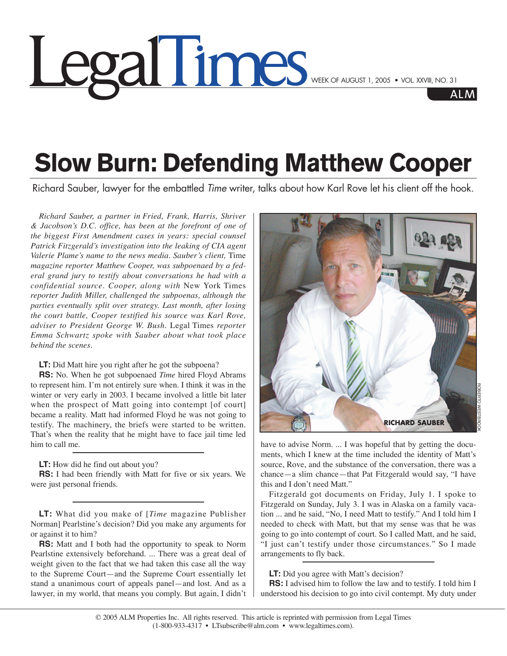## **COOLIMINGS** WEEK OF AUGUST 1, 2005 • VOL. XXVIII, NO. 31

## **Slow Burn: Defending Matthew Cooper**

Richard Sauber, lawyer for the embattled *Time* writer, talks about how Karl Rove let his client off the hook.

*Richard Sauber, a partner in Fried, Frank, Harris, Shriver & Jacobson's D.C. office, has been at the forefront of one of the biggest First Amendment cases in years: special counsel Patrick Fitzgerald's investigation into the leaking of CIA agent Valerie Plame's name to the news media. Sauber's client,* Time *magazine reporter Matthew Cooper, was subpoenaed by a federal grand jury to testify about conversations he had with a confidential source. Cooper, along with* New York Times *reporter Judith Miller, challenged the subpoenas, although the parties eventually split over strategy. Last month, after losing the court battle, Cooper testified his source was Karl Rove, adviser to President George W. Bush.* Legal Times *reporter Emma Schwartz spoke with Sauber about what took place behind the scenes.*

**LT:** Did Matt hire you right after he got the subpoena?

**RS:** No. When he got subpoenaed *Time* hired Floyd Abrams to represent him. I'm not entirely sure when. I think it was in the winter or very early in 2003. I became involved a little bit later when the prospect of Matt going into contempt [of court] became a reality. Matt had informed Floyd he was not going to testify. The machinery, the briefs were started to be written. That's when the reality that he might have to face jail time led him to call me.

**LT:** How did he find out about you?

**RS:** I had been friendly with Matt for five or six years. We were just personal friends.

**LT:** What did you make of [*Time* magazine Publisher Norman] Pearlstine's decision? Did you make any arguments for or against it to him?

**RS:** Matt and I both had the opportunity to speak to Norm Pearlstine extensively beforehand. ... There was a great deal of weight given to the fact that we had taken this case all the way to the Supreme Court—and the Supreme Court essentially let stand a unanimous court of appeals panel—and lost. And as a lawyer, in my world, that means you comply. But again, I didn't



have to advise Norm. ... I was hopeful that by getting the documents, which I knew at the time included the identity of Matt's source, Rove, and the substance of the conversation, there was a chance—a slim chance—that Pat Fitzgerald would say, "I have this and I don't need Matt."

Fitzgerald got documents on Friday, July 1. I spoke to Fitzgerald on Sunday, July 3. I was in Alaska on a family vacation ... and he said, "No, I need Matt to testify." And I told him I needed to check with Matt, but that my sense was that he was going to go into contempt of court. So I called Matt, and he said, "I just can't testify under those circumstances." So I made arrangements to fly back.

## **LT:** Did you agree with Matt's decision?

**RS:** I advised him to follow the law and to testify. I told him I understood his decision to go into civil contempt. My duty under

AI M